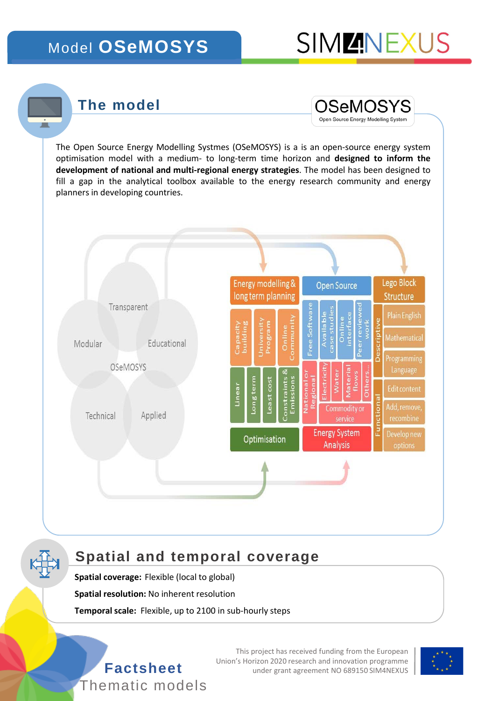## Model **OSeMOSYS**

## **The model**



The Open Source Energy Modelling Systmes (OSeMOSYS) is a is an open-source energy system optimisation model with a medium- to long-term time horizon and **designed to inform the development of national and multi-regional energy strategies**. The model has been designed to fill a gap in the analytical toolbox available to the energy research community and energy planners in developing countries.



### **Spatial and temporal coverage**

**Spatial coverage:** Flexible (local to global)

**Spatial resolution:** No inherent resolution

**Temporal scale:** Flexible, up to 2100 in sub-hourly steps



This project has received funding from the European Union's Horizon 2020 research and innovation programme<br>under grant agreement NO 689150 SIM4NEXUS